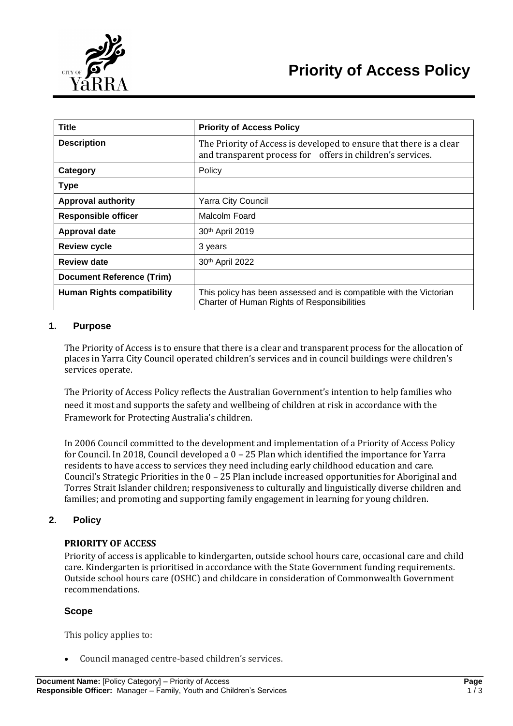

| <b>Title</b>                      | <b>Priority of Access Policy</b>                                                                                                  |
|-----------------------------------|-----------------------------------------------------------------------------------------------------------------------------------|
| <b>Description</b>                | The Priority of Access is developed to ensure that there is a clear<br>and transparent process for offers in children's services. |
| Category                          | Policy                                                                                                                            |
| <b>Type</b>                       |                                                                                                                                   |
| <b>Approval authority</b>         | Yarra City Council                                                                                                                |
| <b>Responsible officer</b>        | Malcolm Foard                                                                                                                     |
| <b>Approval date</b>              | 30th April 2019                                                                                                                   |
| <b>Review cycle</b>               | 3 years                                                                                                                           |
| <b>Review date</b>                | 30th April 2022                                                                                                                   |
| <b>Document Reference (Trim)</b>  |                                                                                                                                   |
| <b>Human Rights compatibility</b> | This policy has been assessed and is compatible with the Victorian<br>Charter of Human Rights of Responsibilities                 |

## **1. Purpose**

The Priority of Access is to ensure that there is a clear and transparent process for the allocation of places in Yarra City Council operated children's services and in council buildings were children's services operate.

The Priority of Access Policy reflects the Australian Government's intention to help families who need it most and supports the safety and wellbeing of children at risk in accordance with the Framework for Protecting Australia's children.

In 2006 Council committed to the development and implementation of a Priority of Access Policy for Council. In 2018, Council developed a 0 – 25 Plan which identified the importance for Yarra residents to have access to services they need including early childhood education and care. Council's Strategic Priorities in the 0 – 25 Plan include increased opportunities for Aboriginal and Torres Strait Islander children; responsiveness to culturally and linguistically diverse children and families; and promoting and supporting family engagement in learning for young children.

# **2. Policy**

#### **PRIORITY OF ACCESS**

Priority of access is applicable to kindergarten, outside school hours care, occasional care and child care. Kindergarten is prioritised in accordance with the State Government funding requirements. Outside school hours care (OSHC) and childcare in consideration of Commonwealth Government recommendations.

#### **Scope**

This policy applies to:

Council managed centre-based children's services.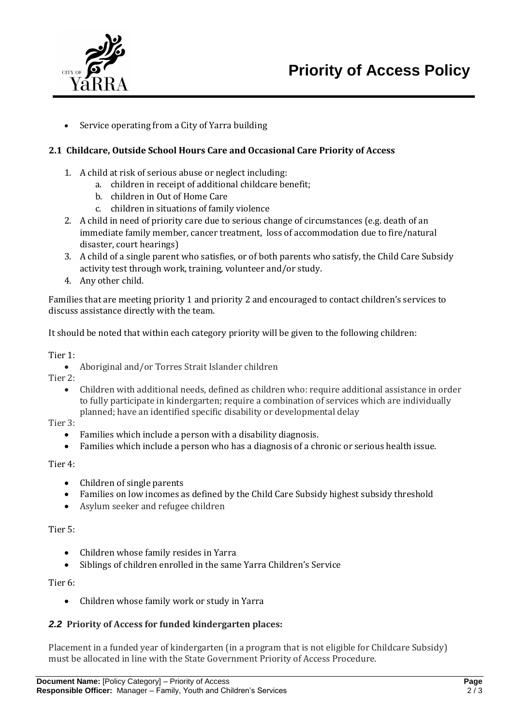



Service operating from a City of Yarra building

### **2.1 Childcare, Outside School Hours Care and Occasional Care Priority of Access**

- 1. A child at risk of serious abuse or neglect including:
	- a. children in receipt of additional childcare benefit;
	- b. children in Out of Home Care
	- c. children in situations of family violence
- 2. A child in need of priority care due to serious change of circumstances (e.g. death of an immediate family member, cancer treatment, loss of accommodation due to fire/natural disaster, court hearings)
- 3. A child of a single parent who satisfies, or of both parents who satisfy, the Child Care Subsidy activity test through work, training, volunteer and/or study.
- 4. Any other child.

Families that are meeting priority 1 and priority 2 and encouraged to contact children's services to discuss assistance directly with the team.

It should be noted that within each category priority will be given to the following children:

#### Tier 1:

Aboriginal and/or Torres Strait Islander children

Tier 2:

 Children with additional needs, defined as children who: require additional assistance in order to fully participate in kindergarten; require a combination of services which are individually planned; have an identified specific disability or developmental delay

Tier 3:

- Families which include a person with a disability diagnosis.
- Families which include a person who has a diagnosis of a chronic or serious health issue.

#### Tier 4:

- Children of single parents
- Families on low incomes as defined by the Child Care Subsidy highest subsidy threshold
- Asylum seeker and refugee children

#### Tier 5:

- Children whose family resides in Yarra
- Siblings of children enrolled in the same Yarra Children's Service

#### Tier 6:

Children whose family work or study in Yarra

# *2.2* **Priority of Access for funded kindergarten places:**

Placement in a funded year of kindergarten (in a program that is not eligible for Childcare Subsidy) must be allocated in line with the State Government Priority of Access Procedure.